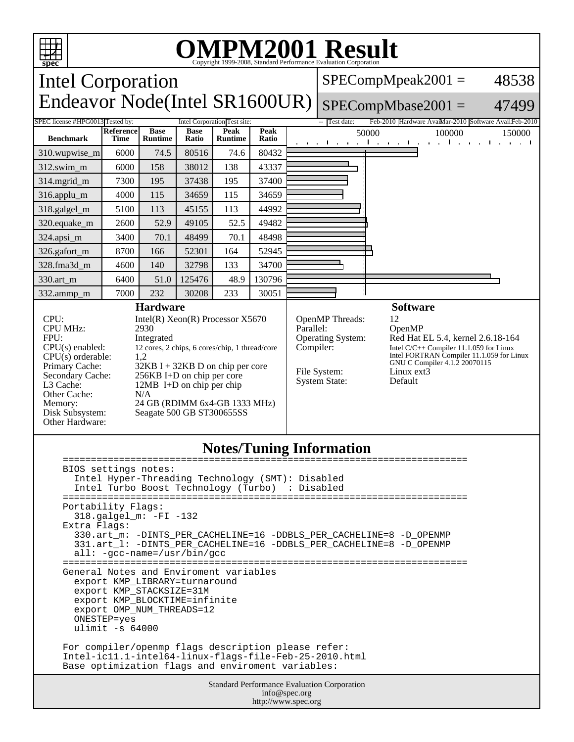

Base optimization flags and enviroment variables:

Standard Performance Evaluation Corporation info@spec.org http://www.spec.org